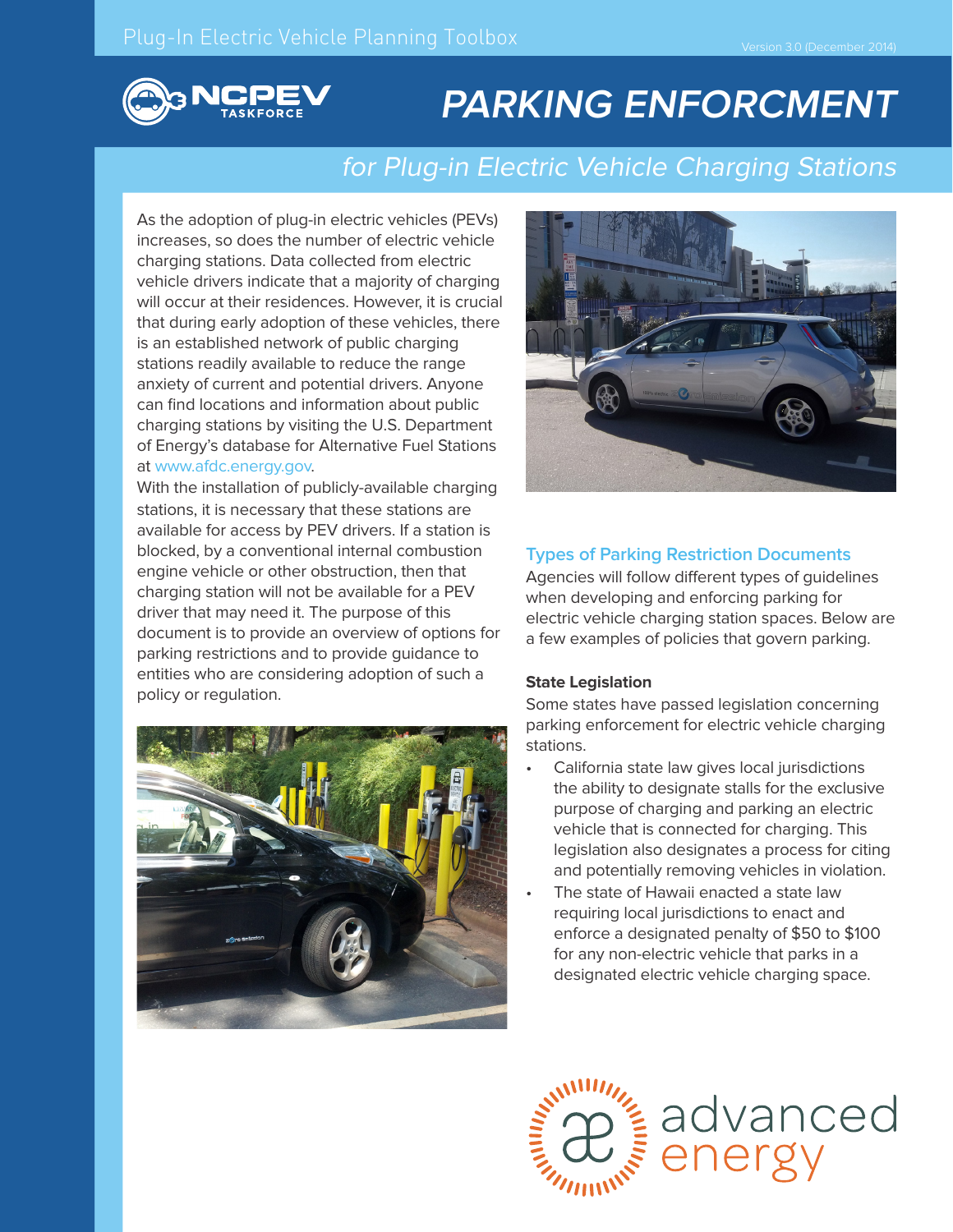

# **PARKING ENFORCMENT**

# for Plug-in Electric Vehicle Charging Stations

As the adoption of plug-in electric vehicles (PEVs) increases, so does the number of electric vehicle charging stations. Data collected from electric vehicle drivers indicate that a majority of charging will occur at their residences. However, it is crucial that during early adoption of these vehicles, there is an established network of public charging stations readily available to reduce the range anxiety of current and potential drivers. Anyone can find locations and information about public charging stations by visiting the U.S. Department of Energy's database for Alternative Fuel Stations at www.afdc.energy.gov.

With the installation of publicly-available charging stations, it is necessary that these stations are available for access by PEV drivers. If a station is blocked, by a conventional internal combustion engine vehicle or other obstruction, then that charging station will not be available for a PEV driver that may need it. The purpose of this document is to provide an overview of options for parking restrictions and to provide guidance to entities who are considering adoption of such a policy or regulation.





## **Types of Parking Restriction Documents**

Agencies will follow different types of guidelines when developing and enforcing parking for electric vehicle charging station spaces. Below are a few examples of policies that govern parking.

#### **State Legislation**

Some states have passed legislation concerning parking enforcement for electric vehicle charging stations.

- California state law gives local jurisdictions the ability to designate stalls for the exclusive purpose of charging and parking an electric vehicle that is connected for charging. This legislation also designates a process for citing and potentially removing vehicles in violation.
- The state of Hawaii enacted a state law requiring local jurisdictions to enact and enforce a designated penalty of \$50 to \$100 for any non-electric vehicle that parks in a designated electric vehicle charging space.

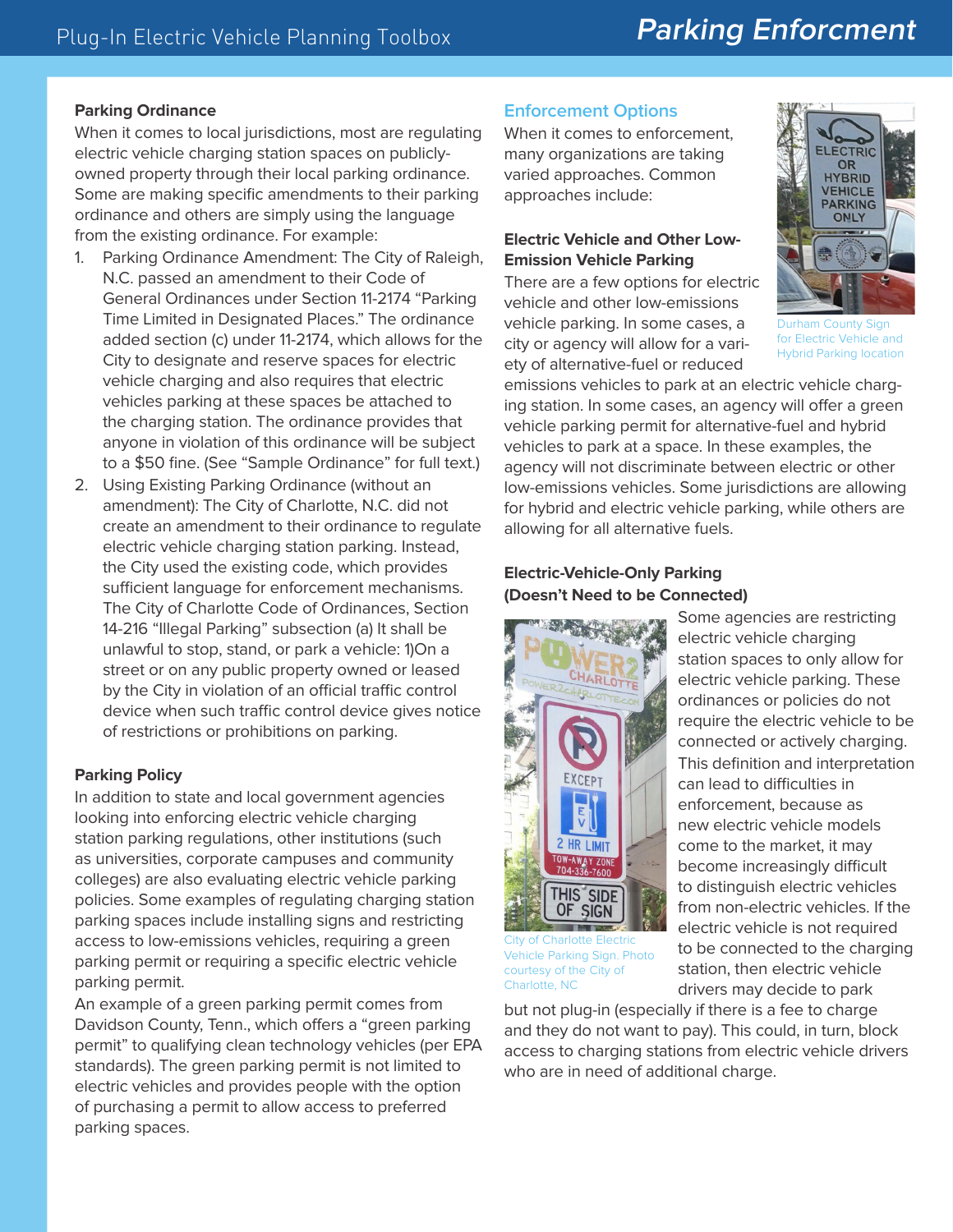# **Parking Enforcment**

#### **Parking Ordinance**

When it comes to local jurisdictions, most are regulating electric vehicle charging station spaces on publiclyowned property through their local parking ordinance. Some are making specific amendments to their parking ordinance and others are simply using the language from the existing ordinance. For example:

- 1. Parking Ordinance Amendment: The City of Raleigh, N.C. passed an amendment to their Code of General Ordinances under Section 11-2174 "Parking Time Limited in Designated Places." The ordinance added section (c) under 11-2174, which allows for the City to designate and reserve spaces for electric vehicle charging and also requires that electric vehicles parking at these spaces be attached to the charging station. The ordinance provides that anyone in violation of this ordinance will be subject to a \$50 fine. (See "Sample Ordinance" for full text.)
- 2. Using Existing Parking Ordinance (without an amendment): The City of Charlotte, N.C. did not create an amendment to their ordinance to regulate electric vehicle charging station parking. Instead, the City used the existing code, which provides sufficient language for enforcement mechanisms. The City of Charlotte Code of Ordinances, Section 14-216 "Illegal Parking" subsection (a) It shall be unlawful to stop, stand, or park a vehicle: 1)On a street or on any public property owned or leased by the City in violation of an official traffic control device when such traffic control device gives notice of restrictions or prohibitions on parking.

#### **Parking Policy**

In addition to state and local government agencies looking into enforcing electric vehicle charging station parking regulations, other institutions (such as universities, corporate campuses and community colleges) are also evaluating electric vehicle parking policies. Some examples of regulating charging station parking spaces include installing signs and restricting access to low-emissions vehicles, requiring a green parking permit or requiring a specific electric vehicle parking permit.

An example of a green parking permit comes from Davidson County, Tenn., which offers a "green parking permit" to qualifying clean technology vehicles (per EPA standards). The green parking permit is not limited to electric vehicles and provides people with the option of purchasing a permit to allow access to preferred parking spaces.

#### **Enforcement Options**

When it comes to enforcement, many organizations are taking varied approaches. Common approaches include:

## **Electric Vehicle and Other Low-Emission Vehicle Parking**

There are a few options for electric vehicle and other low-emissions vehicle parking. In some cases, a city or agency will allow for a variety of alternative-fuel or reduced



Durham County Sign for Electric Vehicle and Hybrid Parking location

emissions vehicles to park at an electric vehicle charging station. In some cases, an agency will offer a green vehicle parking permit for alternative-fuel and hybrid vehicles to park at a space. In these examples, the agency will not discriminate between electric or other low-emissions vehicles. Some jurisdictions are allowing for hybrid and electric vehicle parking, while others are allowing for all alternative fuels.

## **Electric-Vehicle-Only Parking (Doesn't Need to be Connected)**



Some agencies are restricting electric vehicle charging station spaces to only allow for electric vehicle parking. These ordinances or policies do not require the electric vehicle to be connected or actively charging. This definition and interpretation can lead to difficulties in enforcement, because as new electric vehicle models come to the market, it may become increasingly difficult to distinguish electric vehicles from non-electric vehicles. If the electric vehicle is not required to be connected to the charging station, then electric vehicle drivers may decide to park

City of Charlotte Electric Vehicle Parking Sign. Photo courtesy of the City of Charlotte, NC

but not plug-in (especially if there is a fee to charge and they do not want to pay). This could, in turn, block access to charging stations from electric vehicle drivers who are in need of additional charge.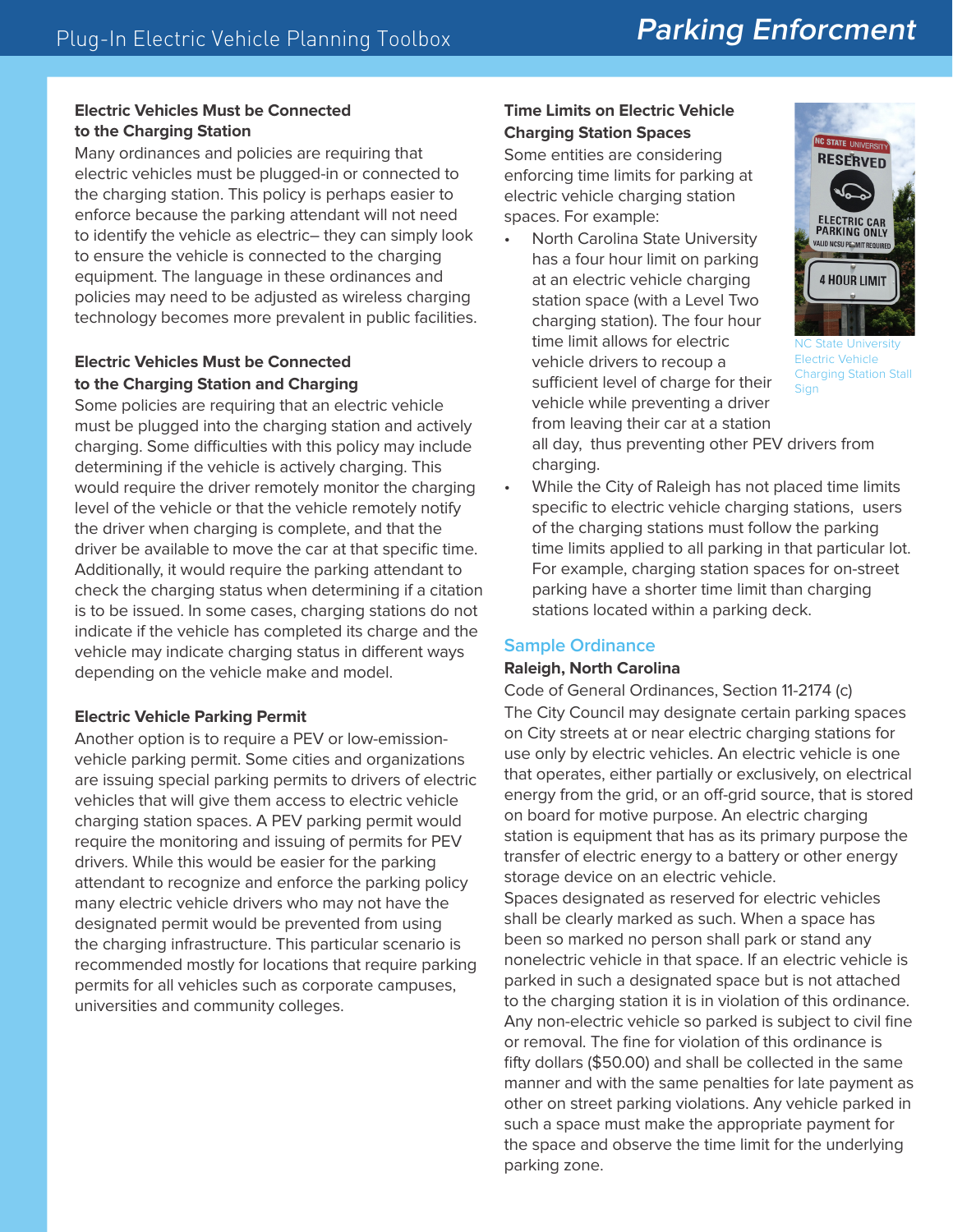#### **Electric Vehicles Must be Connected to the Charging Station**

Many ordinances and policies are requiring that electric vehicles must be plugged-in or connected to the charging station. This policy is perhaps easier to enforce because the parking attendant will not need to identify the vehicle as electric– they can simply look to ensure the vehicle is connected to the charging equipment. The language in these ordinances and policies may need to be adjusted as wireless charging technology becomes more prevalent in public facilities.

# **Electric Vehicles Must be Connected to the Charging Station and Charging**

Some policies are requiring that an electric vehicle must be plugged into the charging station and actively charging. Some difficulties with this policy may include determining if the vehicle is actively charging. This would require the driver remotely monitor the charging level of the vehicle or that the vehicle remotely notify the driver when charging is complete, and that the driver be available to move the car at that specific time. Additionally, it would require the parking attendant to check the charging status when determining if a citation is to be issued. In some cases, charging stations do not indicate if the vehicle has completed its charge and the vehicle may indicate charging status in different ways depending on the vehicle make and model.

## **Electric Vehicle Parking Permit**

Another option is to require a PEV or low-emissionvehicle parking permit. Some cities and organizations are issuing special parking permits to drivers of electric vehicles that will give them access to electric vehicle charging station spaces. A PEV parking permit would require the monitoring and issuing of permits for PEV drivers. While this would be easier for the parking attendant to recognize and enforce the parking policy many electric vehicle drivers who may not have the designated permit would be prevented from using the charging infrastructure. This particular scenario is recommended mostly for locations that require parking permits for all vehicles such as corporate campuses, universities and community colleges.

# **Time Limits on Electric Vehicle Charging Station Spaces**

Some entities are considering enforcing time limits for parking at electric vehicle charging station spaces. For example:

• North Carolina State University has a four hour limit on parking at an electric vehicle charging station space (with a Level Two charging station). The four hour time limit allows for electric vehicle drivers to recoup a sufficient level of charge for their vehicle while preventing a driver from leaving their car at a station



NC State University Electric Vehicle Charging Station Stall **Sign** 

all day, thus preventing other PEV drivers from charging.

• While the City of Raleigh has not placed time limits specific to electric vehicle charging stations, users of the charging stations must follow the parking time limits applied to all parking in that particular lot. For example, charging station spaces for on-street parking have a shorter time limit than charging stations located within a parking deck.

# **Sample Ordinance**

## **Raleigh, North Carolina**

Code of General Ordinances, Section 11-2174 (c) The City Council may designate certain parking spaces on City streets at or near electric charging stations for use only by electric vehicles. An electric vehicle is one that operates, either partially or exclusively, on electrical energy from the grid, or an off-grid source, that is stored on board for motive purpose. An electric charging station is equipment that has as its primary purpose the transfer of electric energy to a battery or other energy storage device on an electric vehicle.

Spaces designated as reserved for electric vehicles shall be clearly marked as such. When a space has been so marked no person shall park or stand any nonelectric vehicle in that space. If an electric vehicle is parked in such a designated space but is not attached to the charging station it is in violation of this ordinance. Any non-electric vehicle so parked is subject to civil fine or removal. The fine for violation of this ordinance is fifty dollars (\$50.00) and shall be collected in the same manner and with the same penalties for late payment as other on street parking violations. Any vehicle parked in such a space must make the appropriate payment for the space and observe the time limit for the underlying parking zone.